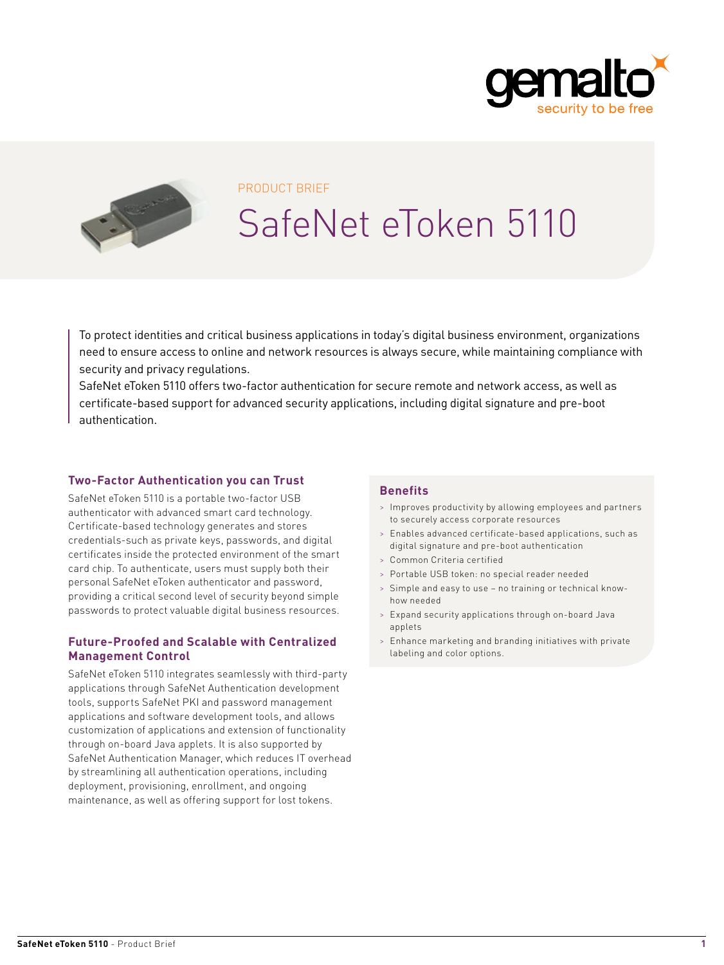



#### PRODUCT BRIEF

# SafeNet eToken 5110

To protect identities and critical business applications in today's digital business environment, organizations need to ensure access to online and network resources is always secure, while maintaining compliance with security and privacy regulations.

SafeNet eToken 5110 offers two-factor authentication for secure remote and network access, as well as certificate-based support for advanced security applications, including digital signature and pre-boot authentication.

### **Two-Factor Authentication you can Trust**

SafeNet eToken 5110 is a portable two-factor USB authenticator with advanced smart card technology. Certificate-based technology generates and stores credentials-such as private keys, passwords, and digital certificates inside the protected environment of the smart card chip. To authenticate, users must supply both their personal SafeNet eToken authenticator and password, providing a critical second level of security beyond simple passwords to protect valuable digital business resources.

#### **Future-Proofed and Scalable with Centralized Management Control**

SafeNet eToken 5110 integrates seamlessly with third-party applications through SafeNet Authentication development tools, supports SafeNet PKI and password management applications and software development tools, and allows customization of applications and extension of functionality through on-board Java applets. It is also supported by SafeNet Authentication Manager, which reduces IT overhead by streamlining all authentication operations, including deployment, provisioning, enrollment, and ongoing maintenance, as well as offering support for lost tokens.

### **Benefits**

- > Improves productivity by allowing employees and partners to securely access corporate resources
- > Enables advanced certificate-based applications, such as digital signature and pre-boot authentication
- > Common Criteria certified
- > Portable USB token: no special reader needed
- > Simple and easy to use no training or technical knowhow needed
- > Expand security applications through on-board Java applets
- > Enhance marketing and branding initiatives with private labeling and color options.